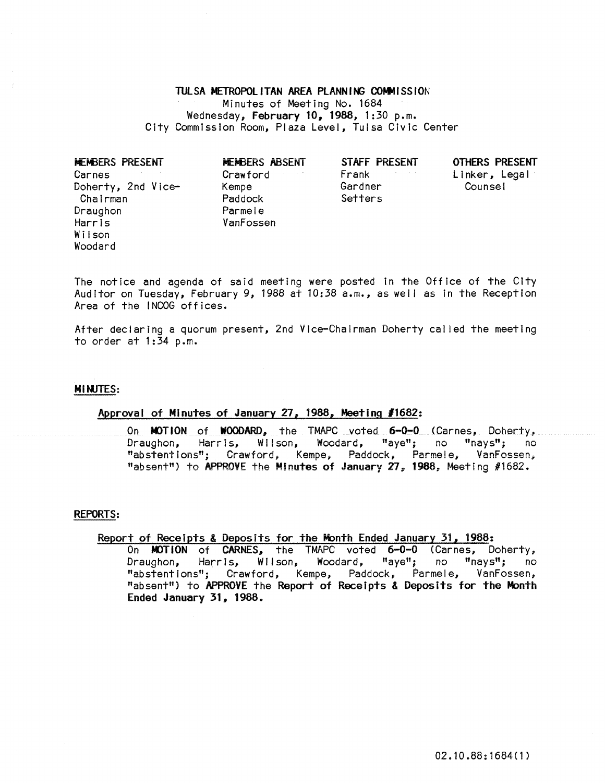## TULSA METROPOLITAN AREA PLANNING COMMISSION Minutes of Meeting No. 1684 Wednesday, February 10, 1988, 1:30 p.m. City Commission Room, Plaza Level, Tulsa Civic Center

| MEMBERS PRESENT    | MEMBERS ABSENT | STAFF PRESENT | <b>OTHERS PR</b> |
|--------------------|----------------|---------------|------------------|
| Carnes             | Crawford       | Frank         | Linker, L        |
| Doherty, 2nd Vice- | Kempe          | Gardner       | Counsel          |
| Chairman           | Paddock        | Setters       |                  |
| Draughon           | Parmele        |               |                  |
| Harris             | VanFossen      |               |                  |
| Wilson             |                |               |                  |
| Woodard            |                |               |                  |
|                    |                |               |                  |

OTHERS PRESENT Linker, Legal<br>Counsel

The notice and agenda of said meeting were posted In the Office of the City Auditor on Tuesday, February 9, 1988 at 10:38 a.m., as well as in the Reception Area of the INCOG offices.

After declaring a quorum present, 2nd Vice-Chairman Doherty cal led the meeting to order at 1:34 p.m.

# MINJTES:

# Approval of Minutes of January 27, 1988, Meeting *11682:*

On MOTION of WOODARD, the TMAPC voted 6-0-0 (Carnes, Doherty, Draughon, Harris, Wilson, Woodard, "aye"; no "nays"; no "abstentions"; Crawford, Kempe, Paddock, Parmele, VanFossen; "absent") to APPROVE the Minutes of January 27, 1988, Meeting #1682.

## REPORTS:

# Report of Receipts & Deposits for the Month Ended January 31, 1988:

On MOTION of CARNES, the TMAPC voted 6-0-0 (Carnes, Doherty, Draughon, Harris, Wilson, Woodard, "aye"; no "nays"; no "abstentions"; Crawford, Kempe, Paddock, Parmele, VanFossen, "absent") to APPROVE the Report of Receipts & Deposits for the Month Ended January 31, 1988.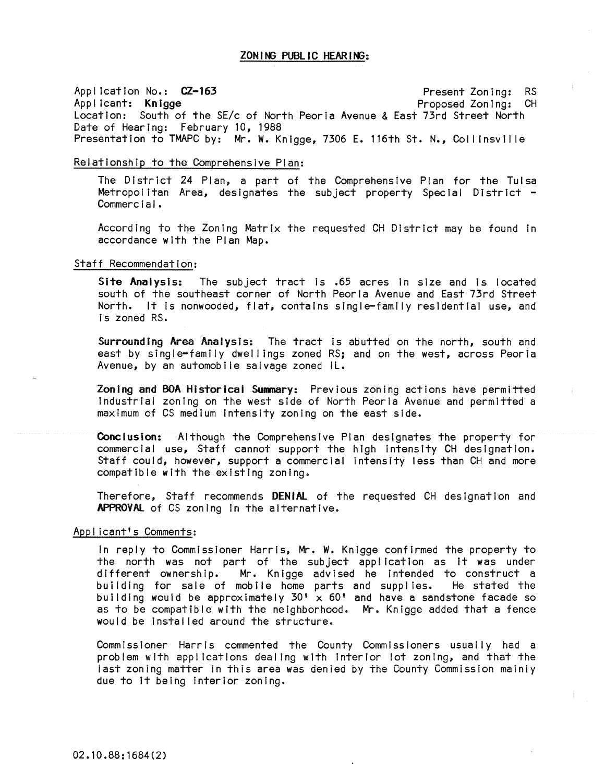ApplicatIon No.: CZ-163 Present Zoning: RS Proposed Zoning: CH Location: South of the SE/c of North Peoria Avenue & East 73rd Street North Date of Hearing: February 10, 1988 Presentation to TMAPC by: Mr. W. Knigge, 7306 E. 116th St. N., Collinsville

## Relationship to the Comprehensive Plan:

The District 24 Plan, a part of the Comprehensive Plan for the Tulsa Metropolitan Area, designates the subject property Special District -<br>Commercial.

According to the Zoning Matrix the requested CH District may be found In accordance with the Plan Map.

#### Staff Recommendation:

Site Analysis: The subject tract is .65 acres in size and is located south of the southeast corner of North Peoria Avenue and East 73rd Street North. It Is nonwooded, flat, contains single-family residential use, and Is zoned RS.

Surrounding Area Analysts: The tract Is abutted on the north, south and east by single-family dwellings zoned RS; and on the west, across Peoria Avenue, by an automobile salvage zoned IL.

Zoning and BOA Historical Summary: Previous zoning actions have permitted Industrial zoning on the west side of North Peoria Avenue and permitted a maximum of CS medium Intensity zoning on the east side.

Conclusion: Although the Comprehensive Plan designates the property for commercial use, Staff cannot support the high Intensity CH designation. Staff could, however, support a commercial Intensity less than CH and more compatible with the existing zoning.

Therefore, Staff recommends DENiAl of the requested CH designation and APPROVAl of CS zoning In the alternative.

### Applicant's Comments:

In reply to Commissioner Harris, Mr. W. Knigge confirmed the property to the north was not part of the subject appl icatlon as it was under different ownership. Mr. Knigge advised he Intended to construct a building for sale of mobile home parts and supplies. He stated the building would be approximately  $30' \times 60'$  and have a sandstone facade so as to be compatible with the neighborhood. Mr. Knigge added that a fence would be Instal led around the structure.

Commissioner Harris commented the County Commissioners usually had a problem with applications dealing with Interior lot zoning, and that the iast zoning matter in this area was denied by the County Commission mainiy due to It being Interior zoning.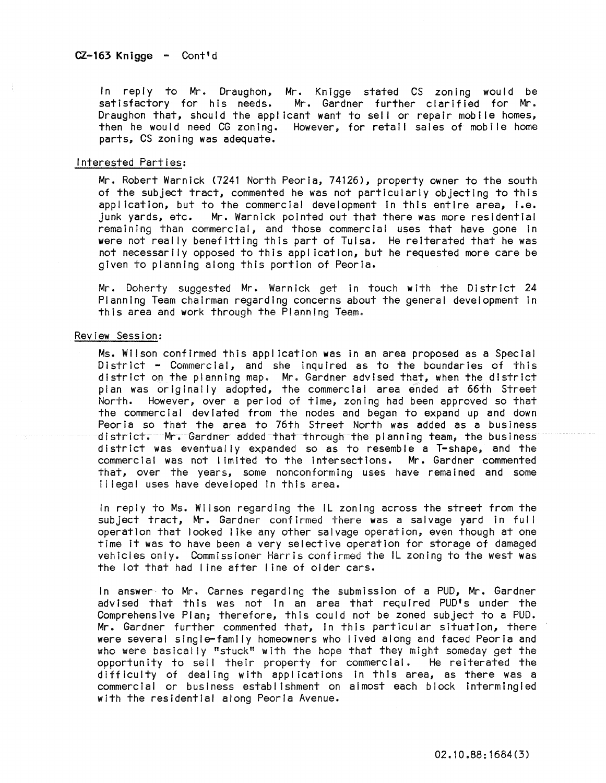In reply to Mr. Draughon, Mr. Knigge stated CS zoning would be satisfactory for his needs. Mr. Gardner further clarified for Mr. Draughon that, should the applicant want to sell or repair mobile homes, then he would need CG zoning. However, for retail sales of mobile home parts, CS zoning was adequate.

### interested Parties:

Mr. Robert Warnick (7241 North Peoria, 74126), property owner to the south of the subject tract, commented he was not particularly objecting to this appl ication, but to the commercial development In this entire area, i.e. junk yards, etc. Mr. Warnick pointed out that there was more residential remaining than commercial, and those commercial uses that have gone in were not really benefitting this part of Tulsa. He reiterated that he was not necessarily opposed to this application, but he requested more care be given to planning along this portion of Peoria.

Mr. Doherty suggested Mr. Warnick get in touch with the District 24 Planning Team chairman regarding concerns about the general development In this area and work through the Planning Team.

### Review Session:

Ms. Wilson confirmed this application was In an area proposed as a Special District - Commercial, and she inquired as to the boundaries of this district on the planning map. Mr. Gardner advised that, when the district plan was originally adopted, the commercial area ended at 66th Street North. However, over a period of time, zoning had been approved so that the commercial deviated from the nodes and began to expand up and down Peoria so that the area to 76th Street North was added as a business district. Mr. Gardner added that through the planning team, the business district was eventually expanded so as to resemble a T-shape, and the commercial was not limited to the Intersections. Mr. Gardner commented that, over the years, some nonconforming uses have remained and some II legal uses have developed in this area.

In reply to Ms. Wilson regarding the IL zoning across the street from the subject tract, Mr. Gardner confirmed there was a salvage yard in full operation that looked I Ike any other salvage operation, even though at one time It was to have been a very selective operation for storage of damaged vehicles only. Commissioner Harris confirmed the IL zoning to the west was the lot that had I ine after line of older cars.

In answer to Mr. Carnes regarding the submission of a PUD, Mr. Gardner advised that this was not in an area that required PUD's under the Comprehensive Plan; therefore, this could not be zoned subject to a PUD. Mr. Gardner further commented that, In this particular situation, there were several single-family homeowners who lived along and faced Peoria and who were basically "stuck" with the hope that they might someday get the opportunity to sell their property for commercial. He reiterated the difficulty of dealing with applications in this area, as there was a commercial or business establishment on almost each block intermingled with the residential along Peoria Avenue.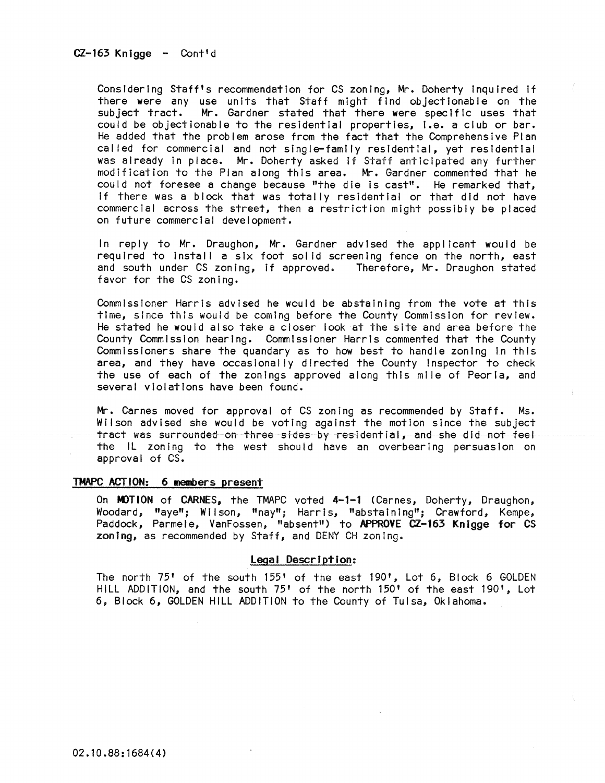CZ-163 Knigge - Cont'd

Considering Staff's recommendation for CS zoning, Mr. Doherty inquired if there were any use units that Staff might find objectionable on the subject tract. Mr. Gardner stated that there were specific uses that could be objectionable to the residential properties, i.e. a club or bar. He added that the problem arose from the fact that the Comprehensive Plan called for commercial and not single-family residential, yet residential was already In place. Mr. Doherty asked if Staff anticipated any further modification to the Plan along this area. Mr. Gardner commented that he could not foresee a change because "the die is cast". He remarked that, If there was a block that was totally residential or that did not have commercial across the street, then a restriction might possibly be placed on future commercIal development.

In reply to Mr. Draughon, Mr. Gardner advised the applicant would be required to install a six foot solid screening fence on the north, east and south under CS zoning, if approved. Therefore, Mr. Draughon stated favor for the CS zoning.

Commissioner Harris advised he would be abstaining from the vote at this time, since this would be coming before the County Commission for review. He stated he would also take a closer look at the sIte and area before the County Commission hearing. Commissioner Harris commented that the County Commissioners share the quandary as to how best to handle zoning In this area, and they have occasionally directed the County Inspector to check the use of each of the zonings approved along this mile of Peoria, and several violations have been found.

Mr. Carnes moved for approval of CS zoning as recommended by Staff. Ms. Wilson advised she would be voting against the motion since the subject tract was surrounded on three sides by residential, and she did not feel the IL zoning to the west should have an overbearing persuasion on approval of CS.

### TMAPC ACTION: 6 members present

On MOTION of CARNES, the TMAPC voted 4-1-1 (Carnes, Doherty, Draughon, Woodard, "aye"; Wilson, "nay"; Harris, "abstaining"; Crawford, Kempe, Paddock, Parmele, VanFossen, "absent") to APPROVE CZ-163 Knigge for CS zoning, as recommended by Staff, and DENY CH zoning.

### **Legal** Description:

The north 75' of the south 155' of the east 190', Lot 6, Block 6 GOLDEN HILL ADDITION, and the south 75' of the north 150' of the east 190', Lot 6, Block 6, GOLDEN HILL ADDITION to the County of Tulsa, Oklahoma.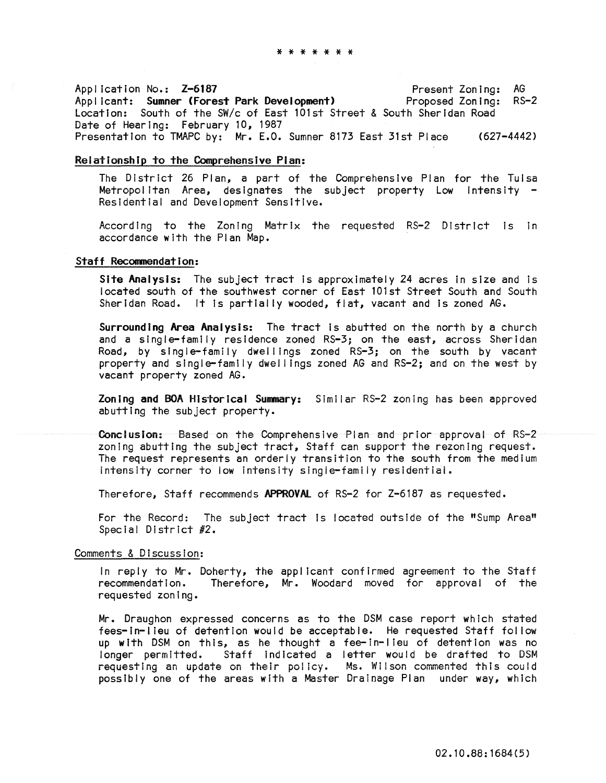Application No.: Z-6187 Applicant: Sumner (Forest Park Development) Location: South of the SW/c of East 101st Street & South Sheridan Road Date of Hearing: February 10, 1987 Present Zoning: AG Proposed Zoning: RS-2 Presentation to TMAPC by: Mr. E.O. Sumner 8173 East 31st Place (627-4442)

### Relationship to the Comprehensive Pian:

The District 26 Plan, a part of the Comprehensive Plan for the Tulsa Metropolitan Area, designates the subject property Low Intensity -<br>Residential and Development Sensitive.

According to the Zoning Matrix the requested RS-2 District is In accordance with the Plan Map.

## Staff Recommendation:

Site Analysis: The subject tract is approximately 24 acres in size and is located south of the southwest corner of East 101st Street South and South Sheridan Road. It is partially wooded, flat, vacant and is zoned  $AG$ .

Surrounding Area Analysis: The tract Is abutted on the north by a church and a single-family residence zoned RS-3; on the east, across Sheridan Road, by single-family dwellings zoned RS-3; on the south by vacant property and single-family dwel lings zoned AG and RS-2; and on the west by vacant property zoned AG.

Zoning and BOA Historical Summary: Similar RS-2 zoning has been approved abutting the subject property.

Conclusion: Based on the Comprehensive Plan and prior approval of RS-2 zoning abutting the subject tract, Staff can support the rezoning request. The request represents an orderly transition to the south from the medium intensity corner to iow intensity slngie-family resldentiai.

Therefore, Staff recommends APPROVAL of RS-2 for Z-6187 as requested.

For the Record: The subject tract Is located outsIde of the "Sump Area" Special District #2.

### Comments & Discussion:

In reply to Mr. Doherty, the applicant confirmed agreement to the Staff<br>recommendation. Therefore, Mr. Woodard moved for approval of the Therefore, Mr. Woodard moved for approval of the requested zoning.

Mr. Draughon expressed concerns as to the DSM case report which stated fees-in-I leu of detention would be acceptable. He requested Staff follow up with DSM on this, as he thought a fee-in-lieu of detention was no longer permitted. Staff indicated a letter would be drafted to DSM requesting an update on their policy. Ms. Wilson commented this could possibly one of the areas with a Master Drainage Plan under way, which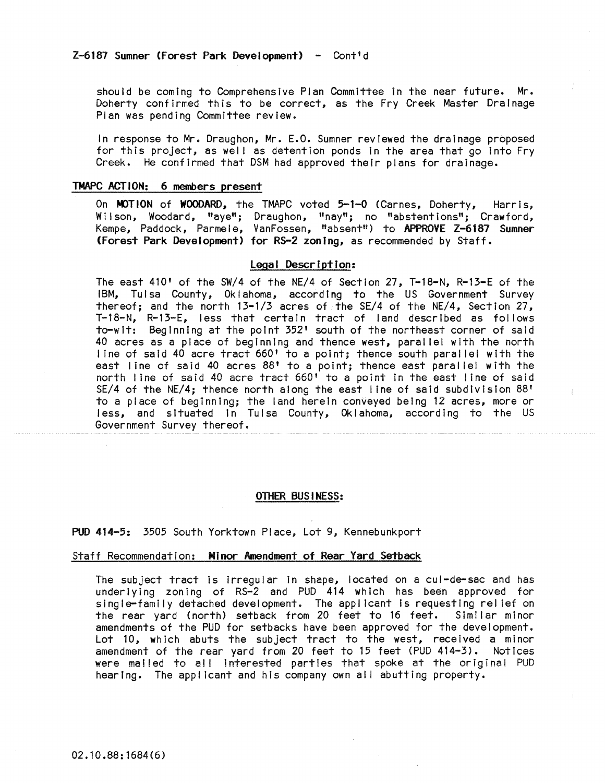should be coming to Comprehensive Plan Committee in the near future. Mr. Doherty confirmed this to be correct, as the Fry Creek Master Drainage Plan was pending Committee review.

In response to Mr. Draughon, Mr. E.O. Sumner reviewed the drainage proposed for this project, as well as detention ponds in the area that go into Fry Creek. He confirmed that DSM had approved their plans for drainage.

## TMAPC ACTION: 6 members present

On MOTION of WOODARD, the TMAPC voted 5-1-0 (Carnes, Doherty, Harris, Wilson, Woodard, "aye"; Draughon, "nay"; no "abstentions"; Crawford, Kempe, Paddock, Parmele, VanFossen, "absent") to APPROVE Z-6187 Sumner (Forest Park Development) for R5-2 zoning, as recommended by Staff.

## Legal Description:

The east 410' of the SW/4 of the NE/4 of Section 27, T-18-N, R-13-E of the IBM, Tulsa County, Oklahoma, according to the US Government Survey thereof; and the north  $13-1/3$  acres of the SE/4 of the NE/4, Section 27, T-18-N, R-13-E, less that certain tract of land described as follows to-wit: Beginning at the point 352' south of the northeast corner of said 40 acres as a place of beginning and thence west, paral lei with the north I ine of said 40 acre tract 660' to a point; thence south paral lei with the east line of said 40 acres 88' to a point; thence east parallel with the north line of said 40 acre tract 660' to a point In the east line of said SE/4 of the NE/4; thence north along the east line of said subdivision  $88'$ to a place of beginning; the land herein conveyed being 12 acres, more or less, and situated In Tulsa County, Oklahoma, according to the US Government Survey thereof.

#### OTHER BUSINESS:

PUD 414-5: 3505 South Yorktown Place, Lot 9, Kennebunkport

### Staff Recommendation: Minor Amendment of Rear Yard Setback

The subject tract is Irregular in shape, located on a cul-de-sac and has underlying zoning of RS-2 and PUD 414 which has been approved for single-family detached development. The applicant is requesting relief on the rear yard (north) setback from 20 feet to 16 feet. Similar minor amendments of the PUD for setbacks have been approved for the development. Lot 10, which abuts the subject tract to the west, received a minor amendment of the rear yard from 20 feet to 15 feet (PUD 414-3). Notices were mailed to all interested parties that spoke at the original PUD hearing. The applicant and his company own all abutting property.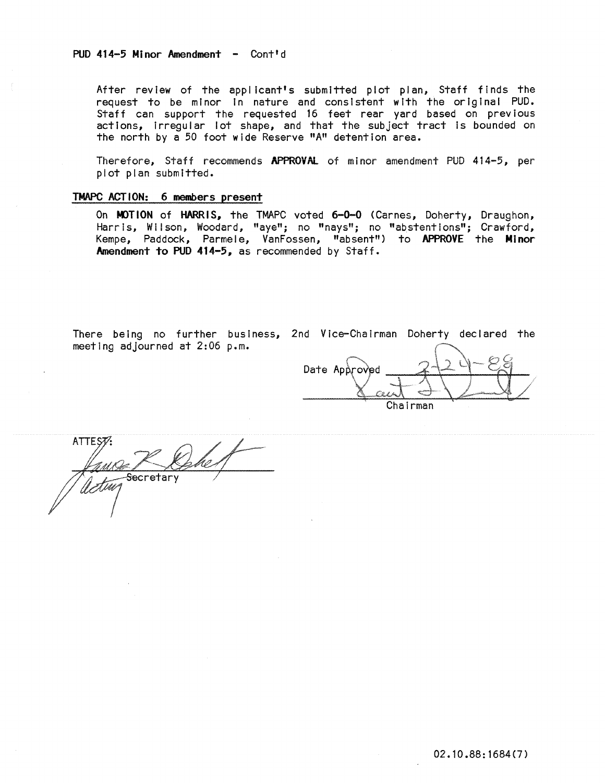## PUD 414-5 Minor Amendment - Cont'd

After review of the applicant's submitted plot plan, Staff finds the request to be minor In nature and consistent with the original PUD. Staff can support the requested 16 feet rear yard based on previous actions, irregular lot shape, and that the subject tract Is bounded on the north by a 50 foot wide Reserve "A" detention area.

Therefore, Staff recommends APPROVAl of minor amendment PUD 414-5, per plot plan submitted.

## TMAPC ACTION: 6 members present

On MOTION of HARRIS, the TMAPC voted 6-0-0 (Carnes, Doherty, Draughon, HarrIs, Wilson, Woodard, "aye"; no "nays"; no "abstentions"; Crawford, Kempe, Paddock, Parmele, VanFossen, "absent") to APPROVE the Minor Amendment to PUD 414-5, as recommended by Staff.

There being no further business, 2nd Vice-Chairman Doherty declared the meeting adjourned at 2:06 p.m.

Date Approved Chairman

 $\mathcal{A}$ ste MAR HIP = 1 Secretary